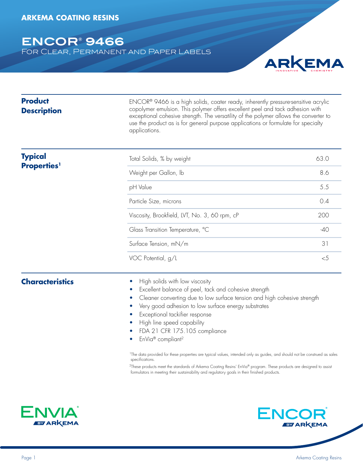# **ENCOR® 9466**

For Clear, Permanent and Paper Labels



| <b>Product</b><br><b>Description</b> | ENCOR® 9466 is a high solids, coater ready, inherently pressure-sensitive acrylic<br>copolymer emulsion. This polymer offers excellent peel and tack adhesion with<br>exceptional cohesive strength. The versatility of the polymer allows the converter to<br>use the product as is for general purpose applications or formulate for specialty<br>applications. |       |  |
|--------------------------------------|-------------------------------------------------------------------------------------------------------------------------------------------------------------------------------------------------------------------------------------------------------------------------------------------------------------------------------------------------------------------|-------|--|
| <b>Typical</b>                       | Total Solids, % by weight                                                                                                                                                                                                                                                                                                                                         | 63.0  |  |
| <b>Properties</b> <sup>1</sup>       | Weight per Gallon, Ib                                                                                                                                                                                                                                                                                                                                             | 8.6   |  |
|                                      | pH Value                                                                                                                                                                                                                                                                                                                                                          | 5.5   |  |
|                                      | Particle Size, microns                                                                                                                                                                                                                                                                                                                                            | 0.4   |  |
|                                      | Viscosity, Brookfield, LVT, No. 3, 60 rpm, cP                                                                                                                                                                                                                                                                                                                     | 200   |  |
|                                      | Glass Transition Temperature, °C                                                                                                                                                                                                                                                                                                                                  | $-40$ |  |
|                                      | Surface Tension, mN/m                                                                                                                                                                                                                                                                                                                                             | 31    |  |
|                                      | VOC Potential, g/L                                                                                                                                                                                                                                                                                                                                                | <5    |  |
| <b>Characteristics</b>               | High solids with low viscosity<br>Excellent balance of peel, tack and cohesive strength<br>Cleaner converting due to low surface tension and high cohesive strength<br>$\bullet$<br>Very good adhesion to low surface energy substrates<br>Exceptional tackifier response<br>High line speed capability                                                           |       |  |

- FDA 21 CFR 175.105 compliance
- EnVia® compliant2

<sup>1</sup>The data provided for these properties are typical values, intended only as guides, and should not be construed as sales specifications.

 $2$ These products meet the standards of Arkema Coating Resins' EnVia® program. These products are designed to assist formulators in meeting their sustainability and regulatory goals in their finished products.



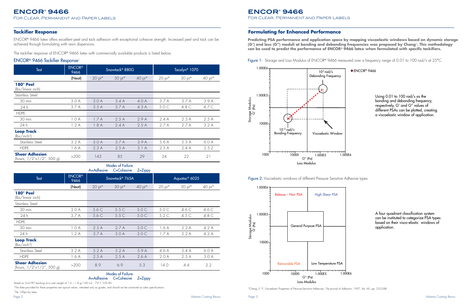|                                                              |                       | $T-TUICSIVG$               | <b>C-COLICSIVE</b> | $2 - 2$                   |          |                   |                   |
|--------------------------------------------------------------|-----------------------|----------------------------|--------------------|---------------------------|----------|-------------------|-------------------|
| <b>Test</b>                                                  | <b>ENCOR®</b><br>9466 | Snowtack <sup>®</sup> 765A |                    | Aquatac <sup>®</sup> 6025 |          |                   |                   |
|                                                              | (Neat)                | $20$ pt*                   | $30 \text{ pt}^*$  | $40 \text{ pt}^*$         | $20$ pt* | $30 \text{ pt}^*$ | $40 \text{ pt}^*$ |
| 180° Peel<br>(lbs/linear inch)                               |                       |                            |                    |                           |          |                   |                   |
| Stainless Steel:                                             |                       |                            |                    |                           |          |                   |                   |
| 30 min.                                                      | 3.0A                  | 5.6C                       | 5.5C               | 5.0C                      | 5.0 C    | 4.6 C             | 4.6 C             |
| 24 h                                                         | 3.7A                  | 5.6C                       | 5.5C               | 5.0C                      | 5.2C     | 4.5 C             | 4.8 C             |
| HDPE:                                                        |                       |                            |                    |                           |          |                   |                   |
| 30 min.                                                      | 1.0A                  | 2.5A                       | 2.7A               | 3.0C                      | 1.6A     | 2.2A              | 4.2 A             |
| 24 h                                                         | 1.2A                  | 3.7A                       | 3.0A               | 3.0C                      | 1.7A     | 2.2A              | 4.2 A             |
| <b>Loop Track</b><br>(lbs/inch <sup>2</sup> )                |                       |                            |                    |                           |          |                   |                   |
| Stainless Steel                                              | 3.2A                  | 5.2A                       | 5.2A               | 5.9 A                     | 4.6 A    | 5.4 A             | 6.0A              |
| <b>HDPE</b>                                                  | 1.6A                  | 2.5A                       | 2.5A               | 2.6A                      | 2.0A     | 2.5A              | 3.0A              |
| <b>Shear Adhesion</b><br>(hours, $1/2" \times 1/2"$ , 500 g) | >200                  | 8.9                        | 6.9                | 5.3                       | 14.0     | 4.4               | 2.2               |

| Test                                                         | <b>ENCOR®</b><br>9466 | Snowtack <sup>®</sup> 880G |          |          | Tacolyn <sup>®</sup> 1070 |                   |          |
|--------------------------------------------------------------|-----------------------|----------------------------|----------|----------|---------------------------|-------------------|----------|
|                                                              | (Neat)                | $20$ pt*                   | $30$ pt* | $40$ pt* | $20$ pt*                  | $30 \text{ pt}^*$ | $40$ pt* |
| 180° Peel<br>(lbs/linear inch)                               |                       |                            |          |          |                           |                   |          |
| Stainless Steel:                                             |                       |                            |          |          |                           |                   |          |
| 30 min.                                                      | 3.0A                  | 3.0A                       | 3.4A     | 4.0 A    | 3.7A                      | 3.7A              | 3.9 A    |
| 24 h                                                         | 3.7A                  | 3.5A                       | 3.7A     | 4.3 A    | 5.0 C                     | 4.8 C             | 4.7 C    |
| HDPE:                                                        |                       |                            |          |          |                           |                   |          |
| 30 min.                                                      | 1.0A                  | 1.7A                       | 2.5A     | 2.9A     | 2.4A                      | 2.3A              | 2.5A     |
| 24 h                                                         | 1.2A                  | 1.8A                       | 2.4A     | 2.5A     | 2.7A                      | 2.7A              | 3.2A     |
| <b>Loop Track</b><br>(lbs/inch <sup>2</sup> )                |                       |                            |          |          |                           |                   |          |
| Stainless Steel                                              | 3.2A                  | 3.0A                       | 3.7A     | 3.9A     | 5.6 A                     | 5.5A              | 6.0A     |
| <b>HDPE</b>                                                  | 1.6A                  | 2.3A                       | 2.5A     | 3.1A     | 2.5A                      | 2.4A              | 2.5Z     |
| <b>Shear Adhesion</b><br>(hours, $1/2" \times 1/2"$ , 500 g) | >200                  | 143                        | 85       | 29       | 24                        | 22                | 21       |

<sup>1</sup>The data provided for these properties are typical values, intended only as guides, and should not be construed as sales specifications. \*Per 100pt dry latex

# **ENCOR® 9466**

For Clear, Permanent and Paper Labels

ENCOR® 9466 latex offers excellent peel and tack adhesion with exceptional cohesive strength. Increased peel and tack can be achieved through formulating with resin dispersions.

The tackifier response of ENCOR® 9466 latex with commercially available products is listed below.

#### ENCOR® 9466 Tackifier Response<sup>1</sup>

#### **Tackifier Response**

Tested on 2-mil PET backing at a coat weight of 1.6 – 1.8 g/100 in2 , 73º F, 55% RH

#### Modes of Failure  $A = A$ dhesive  $C = C$ obesive  $Z = Z$ ippy

### **Formulating for Enhanced Performance**

**Predicting PSA performance and application space by mapping viscoelastic windows based on dynamic storage (G') and loss (G") moduli at bonding and debonding frequencies was proposed by Chang**3**. This methodology can be used to predict the performance of ENCOR® 9466 latex when formulated with specific tackifiers.**

Figure 1: Storage and Loss Modulus of ENCOR® 9466 measured over a frequency range of 0.01 to 100 rad/s at 25°C.



Figure 2: Viscoelastic windows of different Pressure Sensitive Adhesive types.

3Chang, E. P.; Viscoelastic Properties of Pressure-Sensitive Adhesives, *The Journal of Adhesion*, 1997, Vol. 60, pp. 233-248



A four quadrant classification system can be instituted to categorize PSA types based on their visco-elastic windows of application.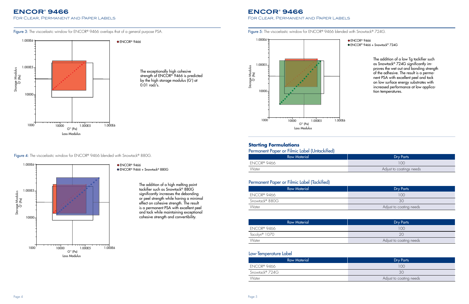Figure 3: The viscoelastic window for ENCOR® 9466 overlaps that of a general purpose PSA.

## **ENCOR® 9466**

For Clear, Permanent and Paper Labels

Figure 5: The viscoelastic window for ENCOR® 9466 blended with Snowtack® 724G.

- ENCOR<sup>®</sup> 9466
- ENCOR® 9466 + Snowtack® 724G





**Figure 4:** The viscoelastic window for  $\mathsf{ENCOR}^\circ$  9466 blended with Snowtack $^\circ$  880G.

● ENCOR<sup>®</sup> 9466 ENCOR® 9466 + Snowtack® 880G Loss Modulus

The addition of a low Tg tackifier such as Snowtack® 724G significantly improves the wet out and bonding strength of the adhesive. The result is a permanent PSA with excellent peel and tack on low surface energy substrates with increased performance at low application temperatures.



The addition of a high melting point tackifier such as Snowtack® 880G significantly increases the debonding or peel strength while having a minimal effect on cohesive strength. The result is a permanent PSA with excellent peel and tack while maintaining exceptional cohesive strength and convertibility.

#### **Starting Formulations**

| Permanent Paper or Filmic Label (Untackified) |                          |  |  |
|-----------------------------------------------|--------------------------|--|--|
| <b>Raw Material</b>                           | Dry Parts                |  |  |
| ENCOR® 9466                                   | 100                      |  |  |
| Water                                         | Adjust to coatings needs |  |  |
|                                               |                          |  |  |

| <b>Raw Material</b> | <b>Dry Parts</b>        |
|---------------------|-------------------------|
| ENCOR® 9466         | 100                     |
| Snowtack® 880G      | 30                      |
| Water               | Adjust to coating needs |

## Permanent Paper or Filmic Label (Tackified)

| <b>Raw Material</b> | <b>Dry Parts</b>        |
|---------------------|-------------------------|
| ENCOR® 9466         | 100                     |
| Tacolyn® 1070       | 20                      |
| Water               | Adjust to coating needs |

| <b>Raw Material</b> | Dry Parts               |
|---------------------|-------------------------|
| ENCOR® 9466         | 100                     |
| Snowtack® 724G      | 30                      |
| Water               | Adjust to coating needs |

#### Low-Temperature Label